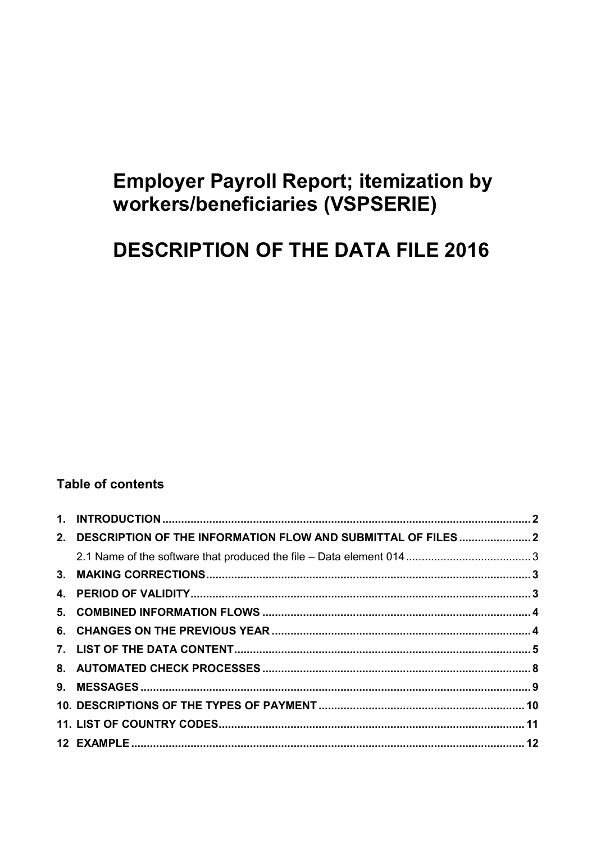# **Employer Payroll Report; itemization by** workers/beneficiaries (VSPSERIE)

# **DESCRIPTION OF THE DATA FILE 2016**

# **Table of contents**

| 2. DESCRIPTION OF THE INFORMATION FLOW AND SUBMITTAL OF FILES 2 |  |
|-----------------------------------------------------------------|--|
|                                                                 |  |
|                                                                 |  |
|                                                                 |  |
|                                                                 |  |
|                                                                 |  |
|                                                                 |  |
|                                                                 |  |
|                                                                 |  |
|                                                                 |  |
|                                                                 |  |
|                                                                 |  |
|                                                                 |  |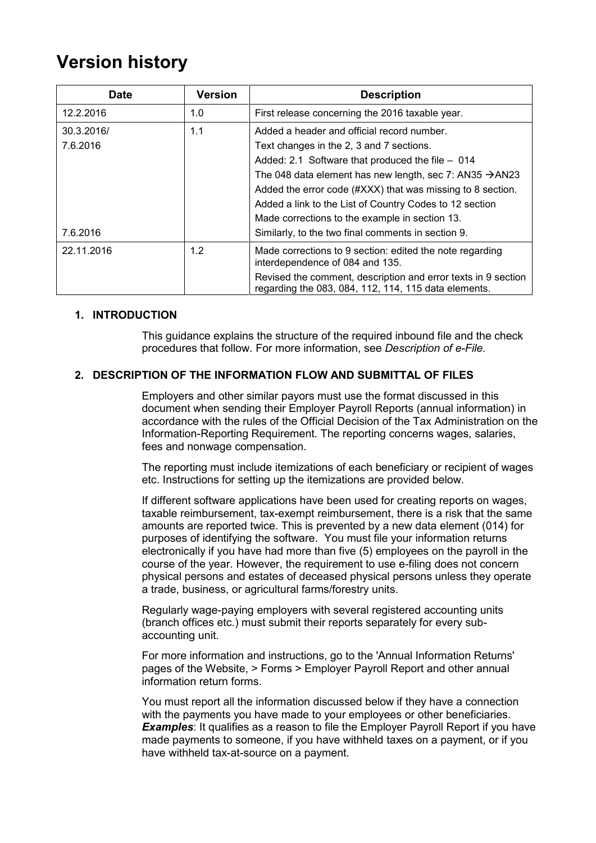# <span id="page-1-0"></span>**Version history**

| <b>Date</b> | <b>Version</b> | <b>Description</b>                                                                                                    |
|-------------|----------------|-----------------------------------------------------------------------------------------------------------------------|
| 12.2.2016   | 1.0            | First release concerning the 2016 taxable year.                                                                       |
| 30.3.2016/  | 1.1            | Added a header and official record number.                                                                            |
| 7.6.2016    |                | Text changes in the 2, 3 and 7 sections.                                                                              |
|             |                | Added: 2.1 Software that produced the file - 014                                                                      |
|             |                | The 048 data element has new length, sec 7: AN35 $\rightarrow$ AN23                                                   |
|             |                | Added the error code (#XXX) that was missing to 8 section.                                                            |
|             |                | Added a link to the List of Country Codes to 12 section                                                               |
|             |                | Made corrections to the example in section 13.                                                                        |
| 7.6.2016    |                | Similarly, to the two final comments in section 9.                                                                    |
| 22.11.2016  | 1.2            | Made corrections to 9 section: edited the note regarding<br>interdependence of 084 and 135.                           |
|             |                | Revised the comment, description and error texts in 9 section<br>regarding the 083, 084, 112, 114, 115 data elements. |

## **1. INTRODUCTION**

This guidance explains the structure of the required inbound file and the check procedures that follow. For more information, see *Description of e-File.*

## <span id="page-1-1"></span>**2. DESCRIPTION OF THE INFORMATION FLOW AND SUBMITTAL OF FILES**

Employers and other similar payors must use the format discussed in this document when sending their Employer Payroll Reports (annual information) in accordance with the rules of the Official Decision of the Tax Administration on the Information-Reporting Requirement. The reporting concerns wages, salaries, fees and nonwage compensation.

The reporting must include itemizations of each beneficiary or recipient of wages etc. Instructions for setting up the itemizations are provided below.

If different software applications have been used for creating reports on wages, taxable reimbursement, tax-exempt reimbursement, there is a risk that the same amounts are reported twice. This is prevented by a new data element (014) for purposes of identifying the software. You must file your information returns electronically if you have had more than five (5) employees on the payroll in the course of the year. However, the requirement to use e-filing does not concern physical persons and estates of deceased physical persons unless they operate a trade, business, or agricultural farms/forestry units.

Regularly wage-paying employers with several registered accounting units (branch offices etc.) must submit their reports separately for every subaccounting unit.

For more information and instructions, go to the 'Annual Information Returns' pages of the Website, > Forms > Employer Payroll Report and other annual information return forms.

You must report all the information discussed below if they have a connection with the payments you have made to your employees or other beneficiaries. **Examples**: It qualifies as a reason to file the Employer Payroll Report if you have made payments to someone, if you have withheld taxes on a payment, or if you have withheld tax-at-source on a payment.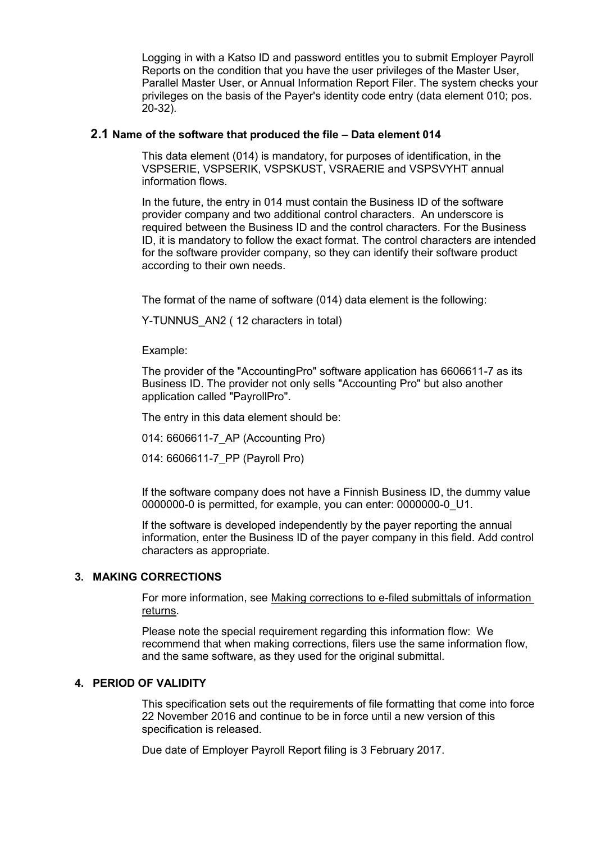Logging in with a Katso ID and password entitles you to submit Employer Payroll Reports on the condition that you have the user privileges of the Master User, Parallel Master User, or Annual Information Report Filer. The system checks your privileges on the basis of the Payer's identity code entry (data element 010; pos. 20-32).

### <span id="page-2-0"></span>**2.1 Name of the software that produced the file – Data element 014**

This data element (014) is mandatory, for purposes of identification, in the VSPSERIE, VSPSERIK, VSPSKUST, VSRAERIE and VSPSVYHT annual information flows.

In the future, the entry in 014 must contain the Business ID of the software provider company and two additional control characters. An underscore is required between the Business ID and the control characters. For the Business ID, it is mandatory to follow the exact format. The control characters are intended for the software provider company, so they can identify their software product according to their own needs.

The format of the name of software (014) data element is the following:

Y-TUNNUS AN2 ( 12 characters in total)

Example:

The provider of the "AccountingPro" software application has 6606611-7 as its Business ID. The provider not only sells "Accounting Pro" but also another application called "PayrollPro".

The entry in this data element should be:

014: 6606611-7\_AP (Accounting Pro)

014: 6606611-7\_PP (Payroll Pro)

If the software company does not have a Finnish Business ID, the dummy value 0000000-0 is permitted, for example, you can enter: 0000000-0\_U1.

If the software is developed independently by the payer reporting the annual information, enter the Business ID of the payer company in this field. Add control characters as appropriate.

## <span id="page-2-1"></span>**3. MAKING CORRECTIONS**

For more information, see Making corrections to e-filed submittals of information returns.

Please note the special requirement regarding this information flow: We recommend that when making corrections, filers use the same information flow, and the same software, as they used for the original submittal.

## <span id="page-2-2"></span>**4. PERIOD OF VALIDITY**

This specification sets out the requirements of file formatting that come into force 22 November 2016 and continue to be in force until a new version of this specification is released.

Due date of Employer Payroll Report filing is 3 February 2017.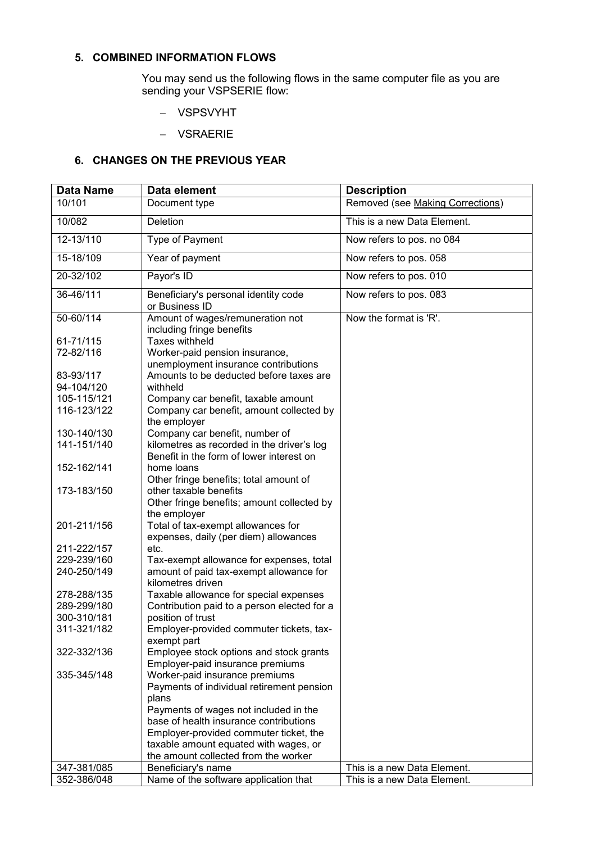## <span id="page-3-0"></span>**5. COMBINED INFORMATION FLOWS**

You may send us the following flows in the same computer file as you are sending your VSPSERIE flow:

- VSPSVYHT
- VSRAERIE

# <span id="page-3-1"></span>**6. CHANGES ON THE PREVIOUS YEAR**

| <b>Data Name</b> | Data element                                                                           | <b>Description</b>               |
|------------------|----------------------------------------------------------------------------------------|----------------------------------|
| 10/101           | Document type                                                                          | Removed (see Making Corrections) |
| 10/082           | Deletion                                                                               | This is a new Data Element.      |
| 12-13/110        | Type of Payment                                                                        | Now refers to pos. no 084        |
| 15-18/109        | Year of payment                                                                        | Now refers to pos. 058           |
| 20-32/102        | Payor's ID                                                                             | Now refers to pos. 010           |
| 36-46/111        | Beneficiary's personal identity code<br>or Business ID                                 | Now refers to pos. 083           |
| 50-60/114        | Amount of wages/remuneration not<br>including fringe benefits                          | Now the format is 'R'.           |
| 61-71/115        | <b>Taxes withheld</b>                                                                  |                                  |
| 72-82/116        | Worker-paid pension insurance,                                                         |                                  |
|                  | unemployment insurance contributions                                                   |                                  |
| 83-93/117        | Amounts to be deducted before taxes are                                                |                                  |
| 94-104/120       | withheld                                                                               |                                  |
| 105-115/121      | Company car benefit, taxable amount                                                    |                                  |
| 116-123/122      | Company car benefit, amount collected by                                               |                                  |
|                  | the employer                                                                           |                                  |
| 130-140/130      | Company car benefit, number of                                                         |                                  |
|                  |                                                                                        |                                  |
| 141-151/140      | kilometres as recorded in the driver's log<br>Benefit in the form of lower interest on |                                  |
| 152-162/141      | home loans                                                                             |                                  |
|                  | Other fringe benefits; total amount of                                                 |                                  |
| 173-183/150      | other taxable benefits                                                                 |                                  |
|                  | Other fringe benefits; amount collected by                                             |                                  |
|                  | the employer                                                                           |                                  |
| 201-211/156      | Total of tax-exempt allowances for                                                     |                                  |
|                  | expenses, daily (per diem) allowances                                                  |                                  |
| 211-222/157      | etc.                                                                                   |                                  |
| 229-239/160      | Tax-exempt allowance for expenses, total                                               |                                  |
| 240-250/149      |                                                                                        |                                  |
|                  | amount of paid tax-exempt allowance for<br>kilometres driven                           |                                  |
| 278-288/135      | Taxable allowance for special expenses                                                 |                                  |
| 289-299/180      | Contribution paid to a person elected for a                                            |                                  |
| 300-310/181      | position of trust                                                                      |                                  |
| 311-321/182      | Employer-provided commuter tickets, tax-                                               |                                  |
|                  |                                                                                        |                                  |
| 322-332/136      | exempt part                                                                            |                                  |
|                  | Employee stock options and stock grants                                                |                                  |
|                  | Employer-paid insurance premiums                                                       |                                  |
| 335-345/148      | Worker-paid insurance premiums                                                         |                                  |
|                  | Payments of individual retirement pension                                              |                                  |
|                  | plans                                                                                  |                                  |
|                  | Payments of wages not included in the                                                  |                                  |
|                  | base of health insurance contributions                                                 |                                  |
|                  | Employer-provided commuter ticket, the                                                 |                                  |
|                  | taxable amount equated with wages, or                                                  |                                  |
|                  | the amount collected from the worker                                                   |                                  |
| 347-381/085      | Beneficiary's name                                                                     | This is a new Data Element.      |
| 352-386/048      | Name of the software application that                                                  | This is a new Data Element.      |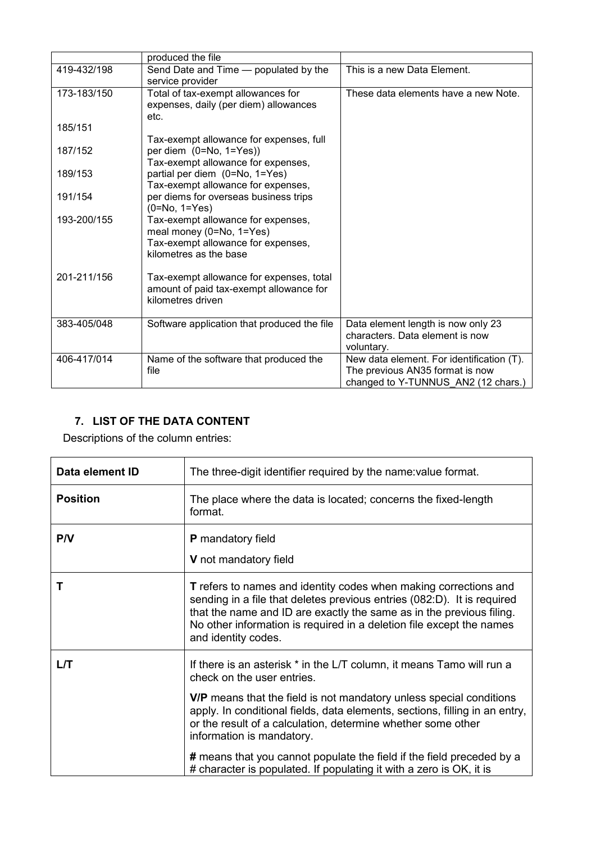|             | produced the file                                                                                                              |                                                                                                                     |
|-------------|--------------------------------------------------------------------------------------------------------------------------------|---------------------------------------------------------------------------------------------------------------------|
| 419-432/198 | Send Date and Time - populated by the<br>service provider                                                                      | This is a new Data Element.                                                                                         |
| 173-183/150 | Total of tax-exempt allowances for<br>expenses, daily (per diem) allowances<br>etc.                                            | These data elements have a new Note.                                                                                |
| 185/151     | Tax-exempt allowance for expenses, full                                                                                        |                                                                                                                     |
| 187/152     | per diem $(0=No, 1=Yes)$<br>Tax-exempt allowance for expenses,                                                                 |                                                                                                                     |
| 189/153     | partial per diem (0=No, 1=Yes)<br>Tax-exempt allowance for expenses,                                                           |                                                                                                                     |
| 191/154     | per diems for overseas business trips<br>$(0=No, 1=Yes)$                                                                       |                                                                                                                     |
| 193-200/155 | Tax-exempt allowance for expenses,<br>meal money (0=No, 1=Yes)<br>Tax-exempt allowance for expenses,<br>kilometres as the base |                                                                                                                     |
| 201-211/156 | Tax-exempt allowance for expenses, total<br>amount of paid tax-exempt allowance for<br>kilometres driven                       |                                                                                                                     |
| 383-405/048 | Software application that produced the file                                                                                    | Data element length is now only 23<br>characters. Data element is now<br>voluntary.                                 |
| 406-417/014 | Name of the software that produced the<br>file                                                                                 | New data element. For identification (T).<br>The previous AN35 format is now<br>changed to Y-TUNNUS_AN2 (12 chars.) |

# <span id="page-4-0"></span>**7. LIST OF THE DATA CONTENT**

Descriptions of the column entries:

| Data element ID | The three-digit identifier required by the name: value format.                                                                                                                                                                                                                                                                                                                                                                                                                                         |
|-----------------|--------------------------------------------------------------------------------------------------------------------------------------------------------------------------------------------------------------------------------------------------------------------------------------------------------------------------------------------------------------------------------------------------------------------------------------------------------------------------------------------------------|
| <b>Position</b> | The place where the data is located; concerns the fixed-length<br>format.                                                                                                                                                                                                                                                                                                                                                                                                                              |
| P/V             | <b>P</b> mandatory field<br>V not mandatory field                                                                                                                                                                                                                                                                                                                                                                                                                                                      |
| т               | <b>T</b> refers to names and identity codes when making corrections and<br>sending in a file that deletes previous entries (082:D). It is required<br>that the name and ID are exactly the same as in the previous filing.<br>No other information is required in a deletion file except the names<br>and identity codes.                                                                                                                                                                              |
| L/T             | If there is an asterisk * in the L/T column, it means Tamo will run a<br>check on the user entries.<br>V/P means that the field is not mandatory unless special conditions<br>apply. In conditional fields, data elements, sections, filling in an entry,<br>or the result of a calculation, determine whether some other<br>information is mandatory.<br># means that you cannot populate the field if the field preceded by a<br># character is populated. If populating it with a zero is OK, it is |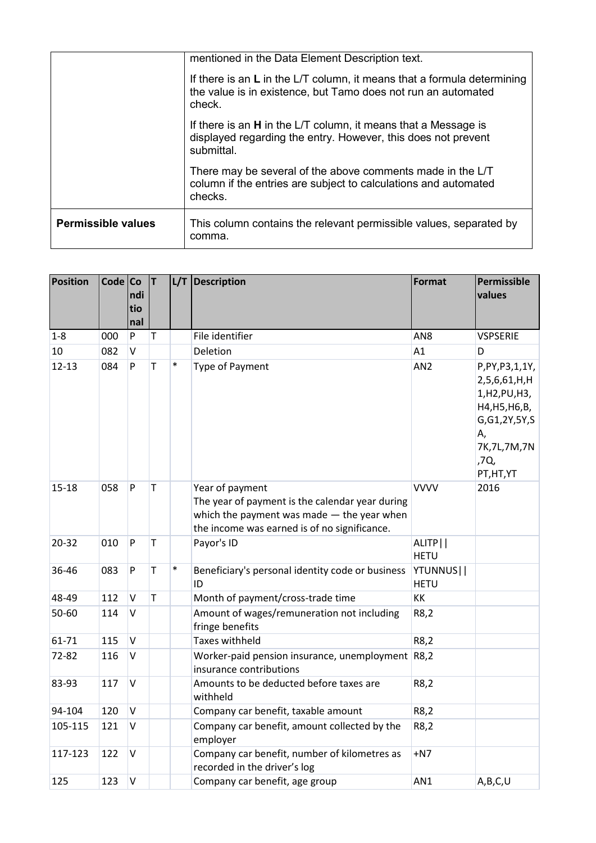|                           | mentioned in the Data Element Description text.                                                                                                      |
|---------------------------|------------------------------------------------------------------------------------------------------------------------------------------------------|
|                           | If there is an $L$ in the L/T column, it means that a formula determining<br>the value is in existence, but Tamo does not run an automated<br>check. |
|                           | If there is an <b>H</b> in the L/T column, it means that a Message is<br>displayed regarding the entry. However, this does not prevent<br>submittal. |
|                           | There may be several of the above comments made in the L/T<br>column if the entries are subject to calculations and automated<br>checks.             |
| <b>Permissible values</b> | This column contains the relevant permissible values, separated by<br>comma.                                                                         |

| Position  | Code Co | ndi<br>tio<br>nal | T            |        | L/T Description                                                                                                                                                  | Format                            | Permissible<br>values                                                                                                                |
|-----------|---------|-------------------|--------------|--------|------------------------------------------------------------------------------------------------------------------------------------------------------------------|-----------------------------------|--------------------------------------------------------------------------------------------------------------------------------------|
| $1-8$     | 000     | P                 | T            |        | File identifier                                                                                                                                                  | AN <sub>8</sub>                   | <b>VSPSERIE</b>                                                                                                                      |
| 10        | 082     | V                 |              |        | Deletion                                                                                                                                                         | A1                                | D                                                                                                                                    |
| $12 - 13$ | 084     | P                 | $\mathsf{T}$ | $\ast$ | Type of Payment                                                                                                                                                  | AN <sub>2</sub>                   | P, PY, P3, 1, 1Y,<br>2,5,6,61,H,H<br>1,H2,PU,H3,<br>H4, H5, H6, B,<br>G, G1, 2Y, 5Y, S<br>Α,<br>7K, 7L, 7M, 7N<br>,7Q,<br>PT, HT, YT |
| $15 - 18$ | 058     | P                 | T            |        | Year of payment<br>The year of payment is the calendar year during<br>which the payment was made - the year when<br>the income was earned is of no significance. | <b>VVVV</b>                       | 2016                                                                                                                                 |
| 20-32     | 010     | P                 | T            |        | Payor's ID                                                                                                                                                       | ALITP <sup>I</sup><br><b>HETU</b> |                                                                                                                                      |
| 36-46     | 083     | P                 | T            | $\ast$ | Beneficiary's personal identity code or business<br>ID                                                                                                           | YTUNNUS  <br><b>HETU</b>          |                                                                                                                                      |
| 48-49     | 112     | V                 | T            |        | Month of payment/cross-trade time                                                                                                                                | KK                                |                                                                                                                                      |
| 50-60     | 114     | $\vee$            |              |        | Amount of wages/remuneration not including<br>fringe benefits                                                                                                    | R8,2                              |                                                                                                                                      |
| 61-71     | 115     | $\sf V$           |              |        | <b>Taxes withheld</b>                                                                                                                                            | R8,2                              |                                                                                                                                      |
| 72-82     | 116     | V                 |              |        | Worker-paid pension insurance, unemployment R8,2<br>insurance contributions                                                                                      |                                   |                                                                                                                                      |
| 83-93     | 117     | $\sf V$           |              |        | Amounts to be deducted before taxes are<br>withheld                                                                                                              | R8,2                              |                                                                                                                                      |
| 94-104    | 120     | V                 |              |        | Company car benefit, taxable amount                                                                                                                              | R8,2                              |                                                                                                                                      |
| 105-115   | 121     | V                 |              |        | Company car benefit, amount collected by the<br>employer                                                                                                         | R8,2                              |                                                                                                                                      |
| 117-123   | 122     | $\vee$            |              |        | Company car benefit, number of kilometres as<br>recorded in the driver's log                                                                                     | $+N7$                             |                                                                                                                                      |
| 125       | 123     | $\vee$            |              |        | Company car benefit, age group                                                                                                                                   | AN1                               | A,B,C,U                                                                                                                              |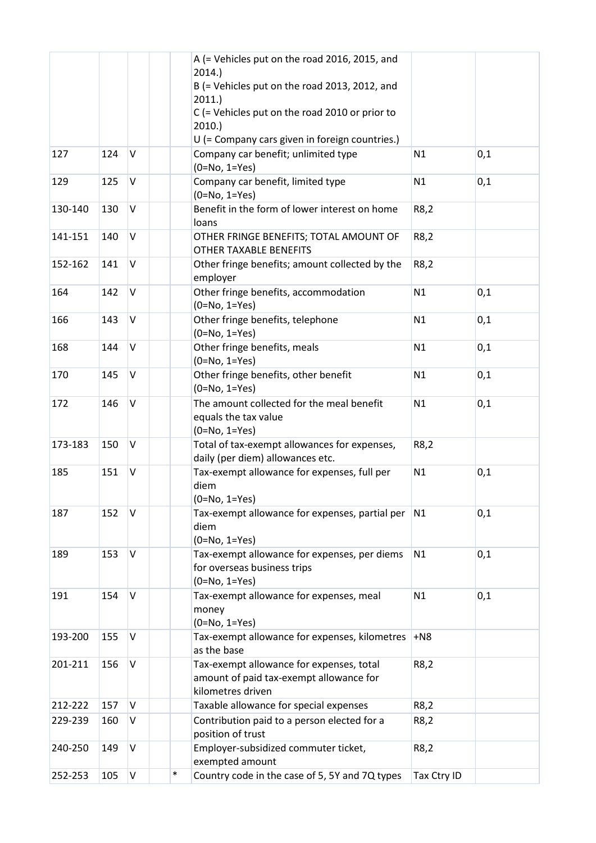|         |     |        |        | A (= Vehicles put on the road 2016, 2015, and<br>2014.<br>B (= Vehicles put on the road 2013, 2012, and<br>2011.<br>C (= Vehicles put on the road 2010 or prior to<br>2010.<br>U (= Company cars given in foreign countries.) |             |     |
|---------|-----|--------|--------|-------------------------------------------------------------------------------------------------------------------------------------------------------------------------------------------------------------------------------|-------------|-----|
| 127     | 124 | $\vee$ |        | Company car benefit; unlimited type<br>$(0=No, 1=Yes)$                                                                                                                                                                        | N1          | 0,1 |
| 129     | 125 | V      |        | Company car benefit, limited type<br>$(0=No, 1=Yes)$                                                                                                                                                                          | N1          | 0,1 |
| 130-140 | 130 | V      |        | Benefit in the form of lower interest on home<br>loans                                                                                                                                                                        | R8,2        |     |
| 141-151 | 140 | V      |        | OTHER FRINGE BENEFITS; TOTAL AMOUNT OF<br><b>OTHER TAXABLE BENEFITS</b>                                                                                                                                                       | R8,2        |     |
| 152-162 | 141 | V      |        | Other fringe benefits; amount collected by the<br>employer                                                                                                                                                                    | R8,2        |     |
| 164     | 142 | V      |        | Other fringe benefits, accommodation<br>$(0=No, 1=Yes)$                                                                                                                                                                       | N1          | 0,1 |
| 166     | 143 | V      |        | Other fringe benefits, telephone<br>$(0=No, 1=Yes)$                                                                                                                                                                           | N1          | 0,1 |
| 168     | 144 | V      |        | Other fringe benefits, meals<br>$(0=No, 1=Yes)$                                                                                                                                                                               | N1          | 0,1 |
| 170     | 145 | V      |        | Other fringe benefits, other benefit<br>$(0=No, 1=Yes)$                                                                                                                                                                       | N1          | 0,1 |
| 172     | 146 | V      |        | The amount collected for the meal benefit<br>equals the tax value<br>$(0=No, 1=Yes)$                                                                                                                                          | N1          | 0,1 |
| 173-183 | 150 | V      |        | Total of tax-exempt allowances for expenses,<br>daily (per diem) allowances etc.                                                                                                                                              | R8,2        |     |
| 185     | 151 | V      |        | Tax-exempt allowance for expenses, full per<br>diem<br>$(0=No, 1=Yes)$                                                                                                                                                        | N1          | 0,1 |
| 187     | 152 | V      |        | Tax-exempt allowance for expenses, partial per<br>diem<br>$(0=No, 1=Yes)$                                                                                                                                                     | N1          | 0,1 |
| 189     | 153 | $\vee$ |        | Tax-exempt allowance for expenses, per diems<br>for overseas business trips<br>$(0=No, 1=Yes)$                                                                                                                                | N1          | 0,1 |
| 191     | 154 | V      |        | Tax-exempt allowance for expenses, meal<br>money<br>$(0=No, 1=Yes)$                                                                                                                                                           | N1          | 0,1 |
| 193-200 | 155 | V      |        | Tax-exempt allowance for expenses, kilometres<br>as the base                                                                                                                                                                  | $+N8$       |     |
| 201-211 | 156 | V      |        | Tax-exempt allowance for expenses, total<br>amount of paid tax-exempt allowance for<br>kilometres driven                                                                                                                      | R8,2        |     |
| 212-222 | 157 | $\vee$ |        | Taxable allowance for special expenses                                                                                                                                                                                        | R8,2        |     |
| 229-239 | 160 | V      |        | Contribution paid to a person elected for a<br>position of trust                                                                                                                                                              | R8,2        |     |
| 240-250 | 149 | $\vee$ |        | Employer-subsidized commuter ticket,<br>exempted amount                                                                                                                                                                       | R8,2        |     |
| 252-253 | 105 | V      | $\ast$ | Country code in the case of 5, 5Y and 7Q types                                                                                                                                                                                | Tax Ctry ID |     |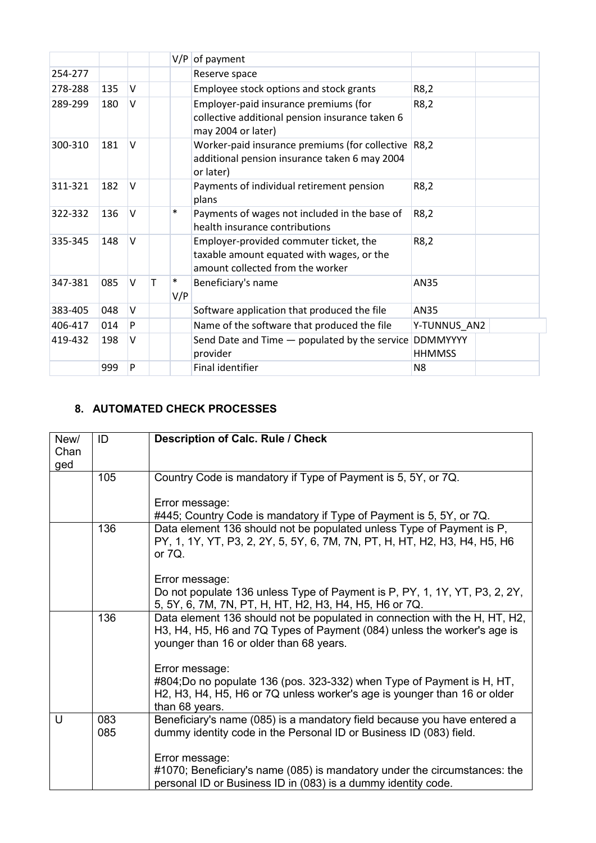|         |     |        |   | V/P           | of payment                                                                                                              |                                  |
|---------|-----|--------|---|---------------|-------------------------------------------------------------------------------------------------------------------------|----------------------------------|
| 254-277 |     |        |   |               | Reserve space                                                                                                           |                                  |
| 278-288 | 135 | $\vee$ |   |               | Employee stock options and stock grants                                                                                 | R8,2                             |
| 289-299 | 180 | $\vee$ |   |               | Employer-paid insurance premiums (for<br>collective additional pension insurance taken 6<br>may 2004 or later)          | R8,2                             |
| 300-310 | 181 | $\vee$ |   |               | Worker-paid insurance premiums (for collective R8,2<br>additional pension insurance taken 6 may 2004<br>or later)       |                                  |
| 311-321 | 182 | $\vee$ |   |               | Payments of individual retirement pension<br>plans                                                                      | R8,2                             |
| 322-332 | 136 | $\vee$ |   | $\ast$        | Payments of wages not included in the base of<br>health insurance contributions                                         | R8,2                             |
| 335-345 | 148 | $\vee$ |   |               | Employer-provided commuter ticket, the<br>taxable amount equated with wages, or the<br>amount collected from the worker | R8,2                             |
| 347-381 | 085 | V      | т | $\ast$<br>V/P | Beneficiary's name                                                                                                      | AN35                             |
| 383-405 | 048 | V      |   |               | Software application that produced the file                                                                             | AN35                             |
| 406-417 | 014 | P      |   |               | Name of the software that produced the file                                                                             | Y-TUNNUS AN2                     |
| 419-432 | 198 | $\vee$ |   |               | Send Date and Time - populated by the service<br>provider                                                               | <b>DDMMYYYY</b><br><b>HHMMSS</b> |
|         | 999 | P      |   |               | Final identifier                                                                                                        | N <sub>8</sub>                   |

## <span id="page-7-0"></span>**8. AUTOMATED CHECK PROCESSES**

| New/        | ID         | <b>Description of Calc. Rule / Check</b>                                                                                                                                                                                            |
|-------------|------------|-------------------------------------------------------------------------------------------------------------------------------------------------------------------------------------------------------------------------------------|
| Chan<br>ged |            |                                                                                                                                                                                                                                     |
|             | 105        | Country Code is mandatory if Type of Payment is 5, 5Y, or 7Q.                                                                                                                                                                       |
|             |            | Error message:                                                                                                                                                                                                                      |
|             |            | #445; Country Code is mandatory if Type of Payment is 5, 5Y, or 7Q.                                                                                                                                                                 |
|             | 136        | Data element 136 should not be populated unless Type of Payment is P,<br>PY, 1, 1Y, YT, P3, 2, 2Y, 5, 5Y, 6, 7M, 7N, PT, H, HT, H2, H3, H4, H5, H6<br>or $7Q$ .                                                                     |
|             |            | Error message:                                                                                                                                                                                                                      |
|             |            | Do not populate 136 unless Type of Payment is P, PY, 1, 1Y, YT, P3, 2, 2Y,<br>5, 5Y, 6, 7M, 7N, PT, H, HT, H2, H3, H4, H5, H6 or 7Q.                                                                                                |
|             | 136        | Data element 136 should not be populated in connection with the H, HT, H2,<br>H3, H4, H5, H6 and 7Q Types of Payment (084) unless the worker's age is<br>younger than 16 or older than 68 years.                                    |
|             |            | Error message:                                                                                                                                                                                                                      |
|             |            | #804;Do no populate 136 (pos. 323-332) when Type of Payment is H, HT,<br>H <sub>2</sub> , H <sub>3</sub> , H <sub>4</sub> , H <sub>5</sub> , H <sub>6</sub> or 7Q unless worker's age is younger than 16 or older<br>than 68 years. |
| U           | 083<br>085 | Beneficiary's name (085) is a mandatory field because you have entered a<br>dummy identity code in the Personal ID or Business ID (083) field.                                                                                      |
|             |            | Error message:<br>#1070; Beneficiary's name (085) is mandatory under the circumstances: the<br>personal ID or Business ID in (083) is a dummy identity code.                                                                        |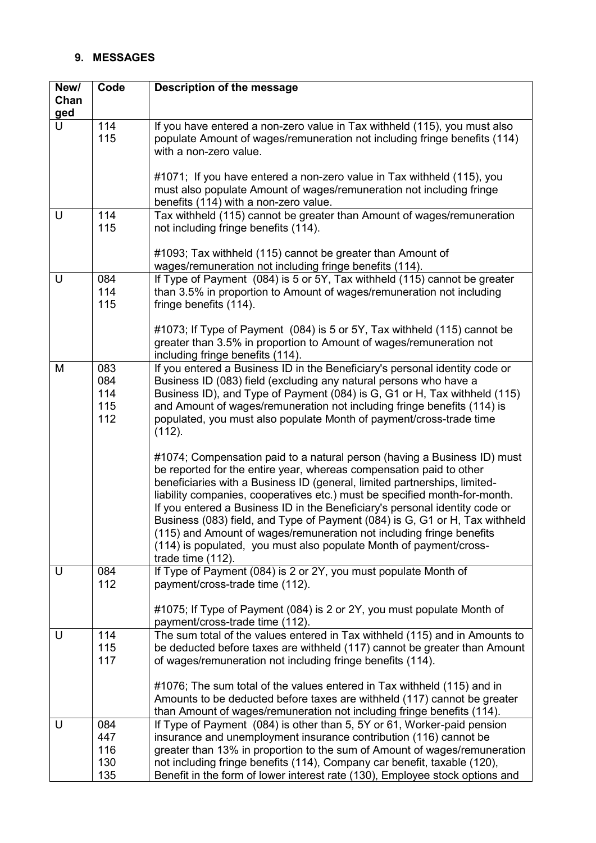# <span id="page-8-0"></span>**9. MESSAGES**

| New/ | Code                            | Description of the message                                                                                                                                                                                                                                                                                                                                                                                                                                                                                                                                                                                                                  |
|------|---------------------------------|---------------------------------------------------------------------------------------------------------------------------------------------------------------------------------------------------------------------------------------------------------------------------------------------------------------------------------------------------------------------------------------------------------------------------------------------------------------------------------------------------------------------------------------------------------------------------------------------------------------------------------------------|
| Chan |                                 |                                                                                                                                                                                                                                                                                                                                                                                                                                                                                                                                                                                                                                             |
| ged  |                                 |                                                                                                                                                                                                                                                                                                                                                                                                                                                                                                                                                                                                                                             |
| U    | 114<br>115                      | If you have entered a non-zero value in Tax withheld (115), you must also<br>populate Amount of wages/remuneration not including fringe benefits (114)<br>with a non-zero value.                                                                                                                                                                                                                                                                                                                                                                                                                                                            |
|      |                                 | #1071; If you have entered a non-zero value in Tax withheld (115), you<br>must also populate Amount of wages/remuneration not including fringe<br>benefits (114) with a non-zero value.                                                                                                                                                                                                                                                                                                                                                                                                                                                     |
| U    | 114<br>115                      | Tax withheld (115) cannot be greater than Amount of wages/remuneration<br>not including fringe benefits (114).                                                                                                                                                                                                                                                                                                                                                                                                                                                                                                                              |
|      |                                 | #1093; Tax withheld (115) cannot be greater than Amount of<br>wages/remuneration not including fringe benefits (114).                                                                                                                                                                                                                                                                                                                                                                                                                                                                                                                       |
| U    | 084<br>114<br>115               | If Type of Payment (084) is 5 or 5Y, Tax withheld (115) cannot be greater<br>than 3.5% in proportion to Amount of wages/remuneration not including<br>fringe benefits (114).                                                                                                                                                                                                                                                                                                                                                                                                                                                                |
|      |                                 | #1073; If Type of Payment (084) is 5 or 5Y, Tax withheld (115) cannot be<br>greater than 3.5% in proportion to Amount of wages/remuneration not<br>including fringe benefits (114).                                                                                                                                                                                                                                                                                                                                                                                                                                                         |
| M    | 083<br>084<br>114<br>115<br>112 | If you entered a Business ID in the Beneficiary's personal identity code or<br>Business ID (083) field (excluding any natural persons who have a<br>Business ID), and Type of Payment (084) is G, G1 or H, Tax withheld (115)<br>and Amount of wages/remuneration not including fringe benefits (114) is<br>populated, you must also populate Month of payment/cross-trade time<br>(112).                                                                                                                                                                                                                                                   |
|      |                                 | #1074; Compensation paid to a natural person (having a Business ID) must<br>be reported for the entire year, whereas compensation paid to other<br>beneficiaries with a Business ID (general, limited partnerships, limited-<br>liability companies, cooperatives etc.) must be specified month-for-month.<br>If you entered a Business ID in the Beneficiary's personal identity code or<br>Business (083) field, and Type of Payment (084) is G, G1 or H, Tax withheld<br>(115) and Amount of wages/remuneration not including fringe benefits<br>(114) is populated, you must also populate Month of payment/cross-<br>trade time (112). |
| U    | 084<br>112                      | If Type of Payment (084) is 2 or 2Y, you must populate Month of<br>payment/cross-trade time (112).                                                                                                                                                                                                                                                                                                                                                                                                                                                                                                                                          |
|      |                                 | #1075; If Type of Payment (084) is 2 or 2Y, you must populate Month of<br>payment/cross-trade time (112).                                                                                                                                                                                                                                                                                                                                                                                                                                                                                                                                   |
| U    | 114                             | The sum total of the values entered in Tax withheld (115) and in Amounts to                                                                                                                                                                                                                                                                                                                                                                                                                                                                                                                                                                 |
|      | 115<br>117                      | be deducted before taxes are withheld (117) cannot be greater than Amount<br>of wages/remuneration not including fringe benefits (114).                                                                                                                                                                                                                                                                                                                                                                                                                                                                                                     |
|      |                                 | #1076; The sum total of the values entered in Tax withheld (115) and in<br>Amounts to be deducted before taxes are withheld (117) cannot be greater<br>than Amount of wages/remuneration not including fringe benefits (114).                                                                                                                                                                                                                                                                                                                                                                                                               |
| U    | 084                             | If Type of Payment (084) is other than 5, 5Y or 61, Worker-paid pension                                                                                                                                                                                                                                                                                                                                                                                                                                                                                                                                                                     |
|      | 447                             | insurance and unemployment insurance contribution (116) cannot be                                                                                                                                                                                                                                                                                                                                                                                                                                                                                                                                                                           |
|      | 116                             | greater than 13% in proportion to the sum of Amount of wages/remuneration                                                                                                                                                                                                                                                                                                                                                                                                                                                                                                                                                                   |
|      | 130<br>135                      | not including fringe benefits (114), Company car benefit, taxable (120),<br>Benefit in the form of lower interest rate (130), Employee stock options and                                                                                                                                                                                                                                                                                                                                                                                                                                                                                    |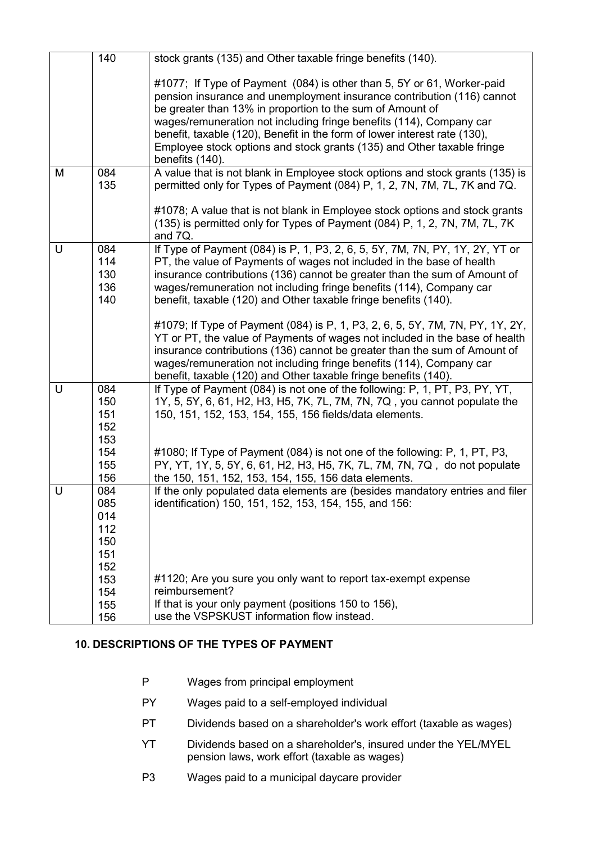|   | 140                                           | stock grants (135) and Other taxable fringe benefits (140).                                                                                                                                                                                                                                                                                                                                                                                 |
|---|-----------------------------------------------|---------------------------------------------------------------------------------------------------------------------------------------------------------------------------------------------------------------------------------------------------------------------------------------------------------------------------------------------------------------------------------------------------------------------------------------------|
|   |                                               | #1077; If Type of Payment (084) is other than 5, 5Y or 61, Worker-paid<br>pension insurance and unemployment insurance contribution (116) cannot<br>be greater than 13% in proportion to the sum of Amount of<br>wages/remuneration not including fringe benefits (114), Company car<br>benefit, taxable (120), Benefit in the form of lower interest rate (130),<br>Employee stock options and stock grants (135) and Other taxable fringe |
|   |                                               | benefits (140).                                                                                                                                                                                                                                                                                                                                                                                                                             |
| M | 084<br>135                                    | A value that is not blank in Employee stock options and stock grants (135) is<br>permitted only for Types of Payment (084) P, 1, 2, 7N, 7M, 7L, 7K and 7Q.                                                                                                                                                                                                                                                                                  |
|   |                                               | #1078; A value that is not blank in Employee stock options and stock grants<br>(135) is permitted only for Types of Payment (084) P, 1, 2, 7N, 7M, 7L, 7K<br>and 7Q.                                                                                                                                                                                                                                                                        |
| U | 084<br>114<br>130<br>136<br>140               | If Type of Payment (084) is P, 1, P3, 2, 6, 5, 5Y, 7M, 7N, PY, 1Y, 2Y, YT or<br>PT, the value of Payments of wages not included in the base of health<br>insurance contributions (136) cannot be greater than the sum of Amount of<br>wages/remuneration not including fringe benefits (114), Company car<br>benefit, taxable (120) and Other taxable fringe benefits (140).                                                                |
|   |                                               | #1079; If Type of Payment (084) is P, 1, P3, 2, 6, 5, 5Y, 7M, 7N, PY, 1Y, 2Y,<br>YT or PT, the value of Payments of wages not included in the base of health<br>insurance contributions (136) cannot be greater than the sum of Amount of<br>wages/remuneration not including fringe benefits (114), Company car<br>benefit, taxable (120) and Other taxable fringe benefits (140).                                                         |
| U | 084<br>150<br>151<br>152<br>153               | If Type of Payment (084) is not one of the following: P, 1, PT, P3, PY, YT,<br>1Y, 5, 5Y, 6, 61, H2, H3, H5, 7K, 7L, 7M, 7N, 7Q, you cannot populate the<br>150, 151, 152, 153, 154, 155, 156 fields/data elements.                                                                                                                                                                                                                         |
|   | 154<br>155<br>156                             | #1080; If Type of Payment (084) is not one of the following: P, 1, PT, P3,<br>PY, YT, 1Y, 5, 5Y, 6, 61, H2, H3, H5, 7K, 7L, 7M, 7N, 7Q, do not populate<br>the 150, 151, 152, 153, 154, 155, 156 data elements.                                                                                                                                                                                                                             |
| U | 084<br>085<br>014<br>112<br>150<br>151<br>152 | If the only populated data elements are (besides mandatory entries and filer<br>identification) 150, 151, 152, 153, 154, 155, and 156:                                                                                                                                                                                                                                                                                                      |
|   | 153<br>154<br>155                             | #1120; Are you sure you only want to report tax-exempt expense<br>reimbursement?<br>If that is your only payment (positions 150 to 156),                                                                                                                                                                                                                                                                                                    |
|   | 156                                           | use the VSPSKUST information flow instead.                                                                                                                                                                                                                                                                                                                                                                                                  |

## <span id="page-9-0"></span>**10. DESCRIPTIONS OF THE TYPES OF PAYMENT**

- P Wages from principal employment
- PY Wages paid to a self-employed individual
- PT Dividends based on a shareholder's work effort (taxable as wages)
- YT Dividends based on a shareholder's, insured under the YEL/MYEL pension laws, work effort (taxable as wages)
- P3 Wages paid to a municipal daycare provider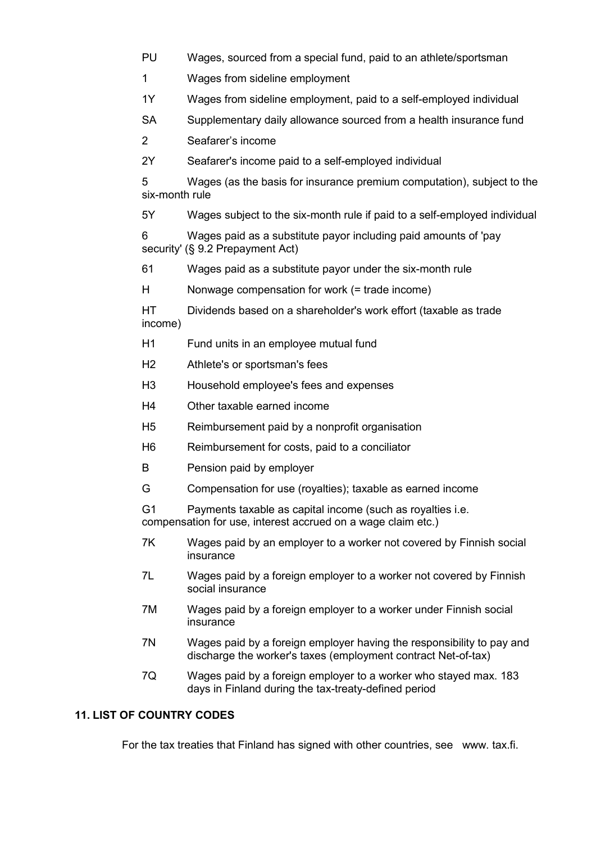- PU Wages, sourced from a special fund, paid to an athlete/sportsman
- 1 Wages from sideline employment
- 1Y Wages from sideline employment, paid to a self-employed individual
- SA Supplementary daily allowance sourced from a health insurance fund
- 2 Seafarer's income
- 2Y Seafarer's income paid to a self-employed individual

5 Wages (as the basis for insurance premium computation), subject to the six-month rule

5Y Wages subject to the six-month rule if paid to a self-employed individual

6 Wages paid as a substitute payor including paid amounts of 'pay security' (§ 9.2 Prepayment Act)

61 Wages paid as a substitute payor under the six-month rule

H Nonwage compensation for work (= trade income)

- HT Dividends based on a shareholder's work effort (taxable as trade income)
- H1 Fund units in an employee mutual fund
- H2 Athlete's or sportsman's fees
- H3 Household employee's fees and expenses
- H4 Other taxable earned income
- H5 Reimbursement paid by a nonprofit organisation
- H6 Reimbursement for costs, paid to a conciliator
- B Pension paid by employer
- G Compensation for use (royalties); taxable as earned income

G1 Payments taxable as capital income (such as royalties i.e. compensation for use, interest accrued on a wage claim etc.)

- 7K Wages paid by an employer to a worker not covered by Finnish social insurance
- 7L Wages paid by a foreign employer to a worker not covered by Finnish social insurance
- 7M Wages paid by a foreign employer to a worker under Finnish social insurance
- 7N Wages paid by a foreign employer having the responsibility to pay and discharge the worker's taxes (employment contract Net-of-tax)
- 7Q Wages paid by a foreign employer to a worker who stayed max. 183 days in Finland during the tax-treaty-defined period

## <span id="page-10-0"></span>**11. LIST OF COUNTRY CODES**

For the tax treaties that Finland has signed with other countries, see www. tax.fi.